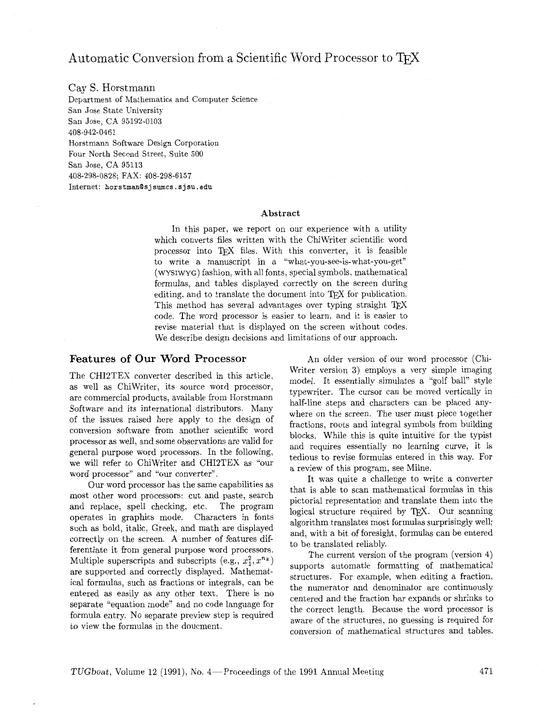# Automatic Conversion from a Scientific Word Processor to T<sub>F</sub>X

Cay S. Horstmann

Department of Mathematics and Computer Science San Jose State University San Jose, CA 95192-0103 408-942-0461 Horstmann Software Design Corporation Four North Second Street, Suite 500 San Jose, CA 95113 408-298-0828; FAX: 408-298-6157  $Internet:$  horstman@sjsumcs.sjsu.edu

#### **Abstract**

In this paper. we report on our experience with a utility which converts files written with the ChiWriter scientific word processor into TFX files. With this converter, it is feasible to write a manuscript in a "what-you-see-is-what-you-get" (WYSIWYG) fashion, with all fonts, special symbols, mathematical formulas, and tables displayed correctly on the screen during editing, and to translate the document into TFX for publication. This method has several advantages over typing straight TEX code. The word processor is easier to learn, and it is easier to revise material that is displayed on the screen without codes. We describe design decisions and limitations of our approach.

#### Features of Our Word Processor

The CHI2TEX converter described in this article, as well as ChiWriter, its source word processor, are commercial products, available from Horstmann Software and its international distributors. Many of the issues raised here apply to the design of conversion software from another scientific word processor as well, and some observations are valid for general purpose word processors. In the following, we will refer to ChiWriter and CHI2TEX as "our word processor" and "our converter".

Our word processor has the same capabilities as most other word processors: cut and paste, search and replace, spell checking, etc. The program operates in graphics mode. Characters in fonts such as bold, italic, Greek, and math are displayed correctly on the screen. A number of features differentiate it from general purpose word processors. Multiple superscripts and subscripts (e.g.,  $x_1^2, x^{n_k}$ ) are supported and correctly displayed. Mathematical formulas, such as fractions or integrals, can be entered as easily as any other text. There is no separate "equation mode" and no code language for formula entry. No separate preview step is required to view the formulas in the doucment.

An older version of our word processor (Chi-Writer version **3)** employs a very simple imaging model. It essentially simulates a "golf ball" style typewriter. The cursor can be moved vertically in half-line steps and characters can be placed anywhere on the screen. The user must piece together fractions, roots and integral symbols from building blocks. While this is quite intuitive for the typist and requires essentially no learning curve, it is tedious to revise formulas entered in this way. For a review of this program, see Milne.

It was quite a challenge to write a converter that is able to scan mathematical formulas in this pictorial representation and translate them into the logical structure required by T<sub>E</sub>X. Our scanning algorithm translates most formulas surprisingly well; and, with a bit of foresight, formulas can be entered to be translated reliably.

The current version of the program (version 4) supports automatic formatting of mathematical structures. For example, when editing a fraction, the numerator and denominator are continuously centered and the fraction bar expands or shrinks to the correct length. Because the word processor is aware of the structures, no guessing is required for conversion of mathematical structures and tables.